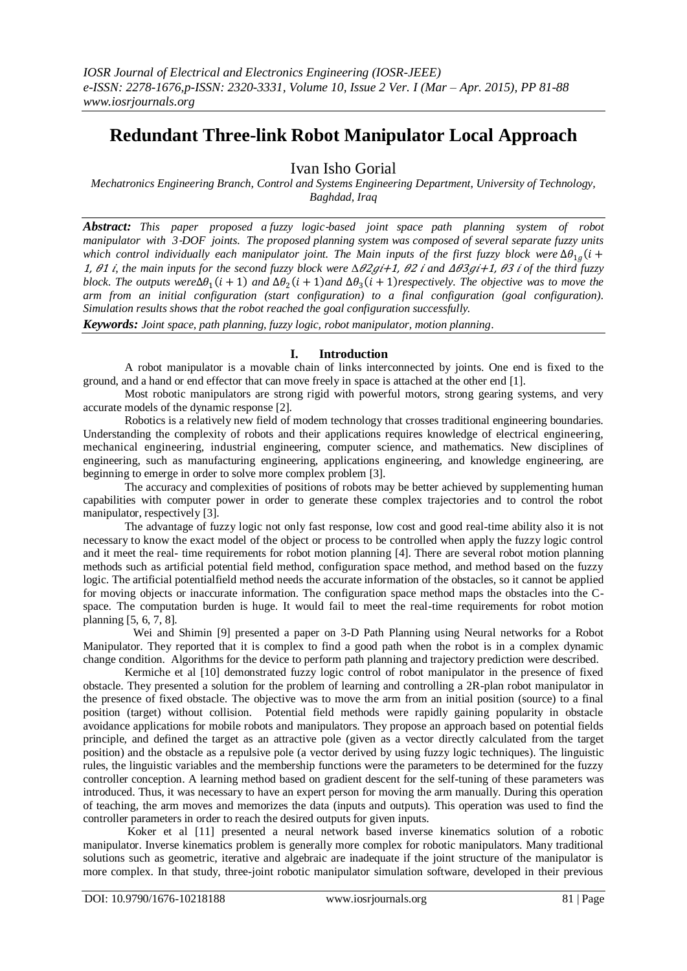# **Redundant Three-link Robot Manipulator Local Approach**

Ivan Isho Gorial

*Mechatronics Engineering Branch, Control and Systems Engineering Department, University of Technology, Baghdad, Iraq*

*Abstract: This paper proposed a fuzzy logic*‐*based joint space path planning system of robot manipulator with 3*‐*DOF joints. The proposed planning system was composed of several separate fuzzy units*   $\omega$ which control individually each manipulator joint. The Main inputs of the first fuzzy block were  $\Delta\theta_{1g}$ (i + 1,  $\theta$ 1 *i*, the main inputs for the second fuzzy block were  $\Delta \theta$ 2gi+1,  $\theta$ 2 *i* and  $\Delta \theta$ 3gi+1,  $\theta$ 3 *i* of the third fuzzy *block. The outputs were* $\Delta\theta_1(i + 1)$  and  $\Delta\theta_2(i + 1)$  and  $\Delta\theta_3(i + 1)$  respectively. The objective was to move the *arm from an initial configuration (start configuration) to a final configuration (goal configuration). Simulation results shows that the robot reached the goal configuration successfully.*

*Keywords: Joint space, path planning, fuzzy logic, robot manipulator, motion planning*.

#### **I. Introduction**

A robot manipulator is a movable chain of links interconnected by joints. One end is fixed to the ground, and a hand or end effector that can move freely in space is attached at the other end [1].

Most robotic manipulators are strong rigid with powerful motors, strong gearing systems, and very accurate models of the dynamic response [2].

Robotics is a relatively new field of modem technology that crosses traditional engineering boundaries. Understanding the complexity of robots and their applications requires knowledge of electrical engineering, mechanical engineering, industrial engineering, computer science, and mathematics. New disciplines of engineering, such as manufacturing engineering, applications engineering, and knowledge engineering, are beginning to emerge in order to solve more complex problem [3].

The accuracy and complexities of positions of robots may be better achieved by supplementing human capabilities with computer power in order to generate these complex trajectories and to control the robot manipulator, respectively [3].

The advantage of fuzzy logic not only fast response, low cost and good real-time ability also it is not necessary to know the exact model of the object or process to be controlled when apply the fuzzy logic control and it meet the real- time requirements for robot motion planning [4]. There are several robot motion planning methods such as artificial potential field method, configuration space method, and method based on the fuzzy logic. The artificial potentialfield method needs the accurate information of the obstacles, so it cannot be applied for moving objects or inaccurate information. The configuration space method maps the obstacles into the Cspace. The computation burden is huge. It would fail to meet the real-time requirements for robot motion planning [5, 6, 7, 8].

 Wei and Shimin [9] presented a paper on 3-D Path Planning using Neural networks for a Robot Manipulator. They reported that it is complex to find a good path when the robot is in a complex dynamic change condition. Algorithms for the device to perform path planning and trajectory prediction were described.

Kermiche et al [10] demonstrated fuzzy logic control of robot manipulator in the presence of fixed obstacle. They presented a solution for the problem of learning and controlling a 2R-plan robot manipulator in the presence of fixed obstacle. The objective was to move the arm from an initial position (source) to a final position (target) without collision. Potential field methods were rapidly gaining popularity in obstacle avoidance applications for mobile robots and manipulators. They propose an approach based on potential fields principle, and defined the target as an attractive pole (given as a vector directly calculated from the target position) and the obstacle as a repulsive pole (a vector derived by using fuzzy logic techniques). The linguistic rules, the linguistic variables and the membership functions were the parameters to be determined for the fuzzy controller conception. A learning method based on gradient descent for the self-tuning of these parameters was introduced. Thus, it was necessary to have an expert person for moving the arm manually. During this operation of teaching, the arm moves and memorizes the data (inputs and outputs). This operation was used to find the controller parameters in order to reach the desired outputs for given inputs.

Koker et al [11] presented a neural network based inverse kinematics solution of a robotic manipulator. Inverse kinematics problem is generally more complex for robotic manipulators. Many traditional solutions such as geometric, iterative and algebraic are inadequate if the joint structure of the manipulator is more complex. In that study, three-joint robotic manipulator simulation software, developed in their previous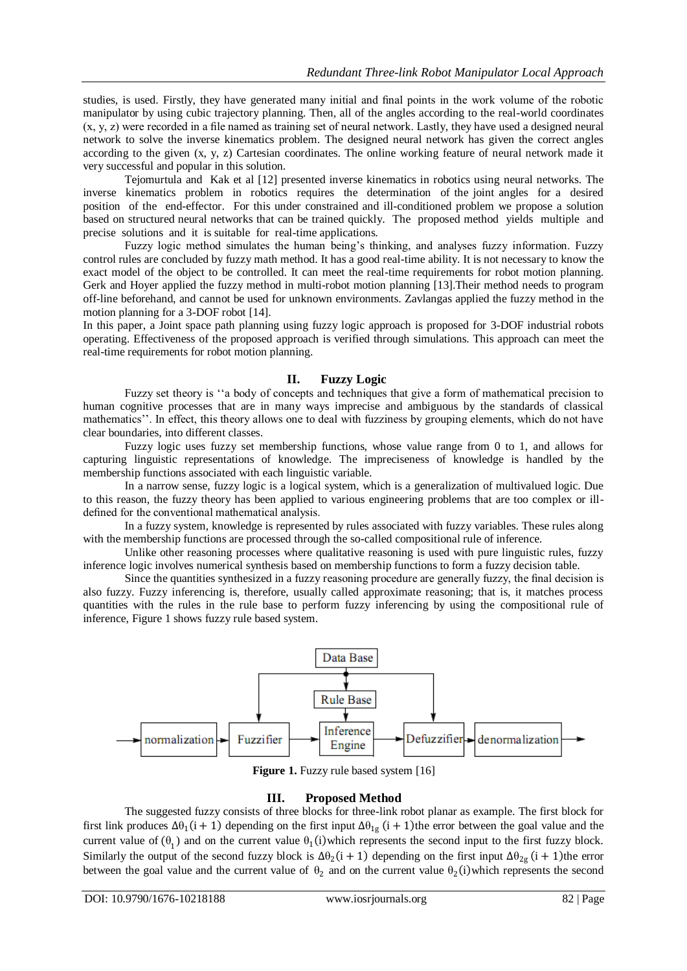studies, is used. Firstly, they have generated many initial and final points in the work volume of the robotic manipulator by using cubic trajectory planning. Then, all of the angles according to the real-world coordinates (x, y, z) were recorded in a file named as training set of neural network. Lastly, they have used a designed neural network to solve the inverse kinematics problem. The designed neural network has given the correct angles according to the given (x, y, z) Cartesian coordinates. The online working feature of neural network made it very successful and popular in this solution.

Tejomurtula and Kak et al [12] presented inverse kinematics in robotics using neural networks. The inverse kinematics problem in robotics requires the determination of the joint angles for a desired position of the end-effector. For this under constrained and ill-conditioned problem we propose a solution based on structured neural networks that can be trained quickly. The proposed method yields multiple and precise solutions and it is suitable for real-time applications.

Fuzzy logic method simulates the human being's thinking, and analyses fuzzy information. Fuzzy control rules are concluded by fuzzy math method. It has a good real-time ability. It is not necessary to know the exact model of the object to be controlled. It can meet the real-time requirements for robot motion planning. Gerk and Hoyer applied the fuzzy method in multi-robot motion planning [13].Their method needs to program off-line beforehand, and cannot be used for unknown environments. Zavlangas applied the fuzzy method in the motion planning for a 3-DOF robot [14].

In this paper, a Joint space path planning using fuzzy logic approach is proposed for 3-DOF industrial robots operating. Effectiveness of the proposed approach is verified through simulations. This approach can meet the real-time requirements for robot motion planning.

## **II. Fuzzy Logic**

Fuzzy set theory is "a body of concepts and techniques that give a form of mathematical precision to human cognitive processes that are in many ways imprecise and ambiguous by the standards of classical mathematics". In effect, this theory allows one to deal with fuzziness by grouping elements, which do not have clear boundaries, into different classes.

Fuzzy logic uses fuzzy set membership functions, whose value range from 0 to 1, and allows for capturing linguistic representations of knowledge. The impreciseness of knowledge is handled by the membership functions associated with each linguistic variable.

In a narrow sense, fuzzy logic is a logical system, which is a generalization of multivalued logic. Due to this reason, the fuzzy theory has been applied to various engineering problems that are too complex or illdefined for the conventional mathematical analysis.

In a fuzzy system, knowledge is represented by rules associated with fuzzy variables. These rules along with the membership functions are processed through the so-called compositional rule of inference.

Unlike other reasoning processes where qualitative reasoning is used with pure linguistic rules, fuzzy inference logic involves numerical synthesis based on membership functions to form a fuzzy decision table.

Since the quantities synthesized in a fuzzy reasoning procedure are generally fuzzy, the final decision is also fuzzy. Fuzzy inferencing is, therefore, usually called approximate reasoning; that is, it matches process quantities with the rules in the rule base to perform fuzzy inferencing by using the compositional rule of inference, Figure 1 shows fuzzy rule based system.



**Figure 1.** Fuzzy rule based system [16]

## **III. Proposed Method**

The suggested fuzzy consists of three blocks for three-link robot planar as example. The first block for first link produces  $\Delta\theta_1(i + 1)$  depending on the first input  $\Delta\theta_{1g}(i + 1)$ the error between the goal value and the current value of  $(\theta_1)$  and on the current value  $\theta_1(i)$  which represents the second input to the first fuzzy block. Similarly the output of the second fuzzy block is  $\Delta\theta_2(i + 1)$  depending on the first input  $\Delta\theta_{2g}$   $(i + 1)$ the error between the goal value and the current value of  $\theta_2$  and on the current value  $\theta_2$ (i) which represents the second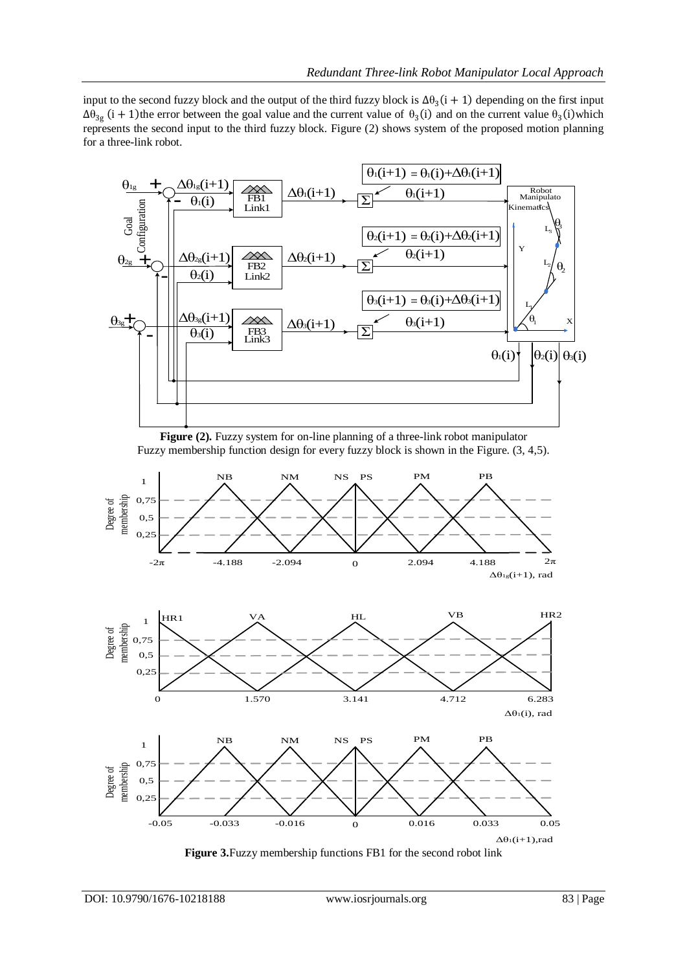input to the second fuzzy block and the output of the third fuzzy block is  $\Delta\theta_3(i + 1)$  depending on the first input  $\Delta\theta_{3g}$  (i + 1) the error between the goal value and the current value of  $\theta_3$  (i) and on the current value  $\theta_3$  (i) which represents the second input to the third fuzzy block. Figure (2) shows system of the proposed motion planning for a three-link robot.



**Figure (2).** Fuzzy system for on-line planning of a three-link robot manipulator Fuzzy membership function design for every fuzzy block is shown in the Figure. (3, 4,5).







**Figure 3.**Fuzzy membership functions FB1 for the second robot link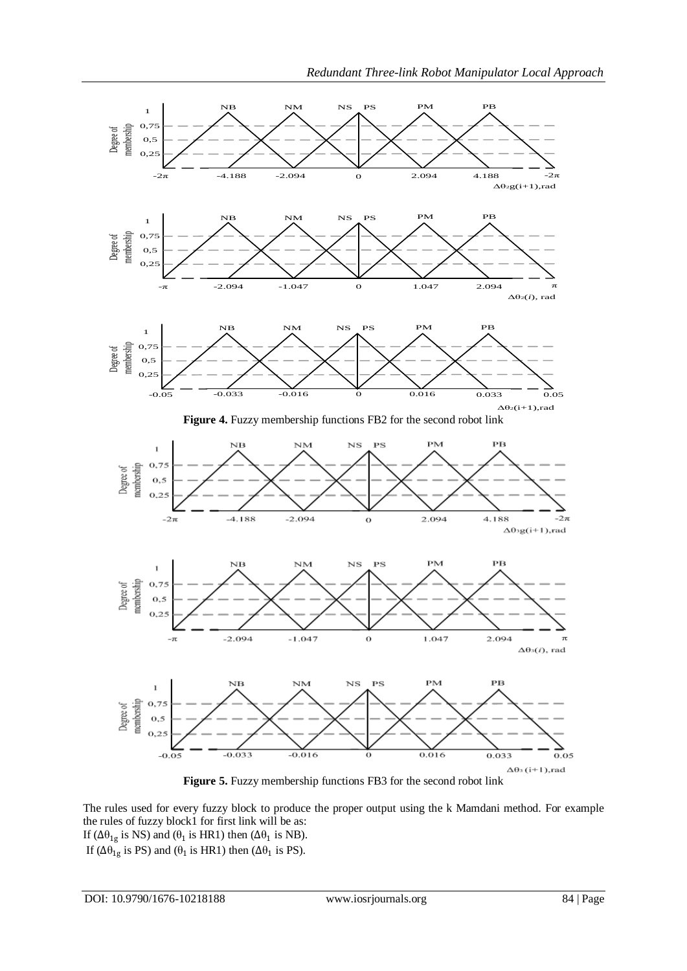

**Figure 5.** Fuzzy membership functions FB3 for the second robot link

The rules used for every fuzzy block to produce the proper output using the k Mamdani method. For example the rules of fuzzy block1 for first link will be as: If ( $Δθ_{1g}$  is NS) and ( $θ_1$  is HR1) then ( $Δθ_1$  is NB).

If ( $Δθ_{1g}$  is PS) and ( $θ_1$  is HR1) then ( $Δθ_1$  is PS).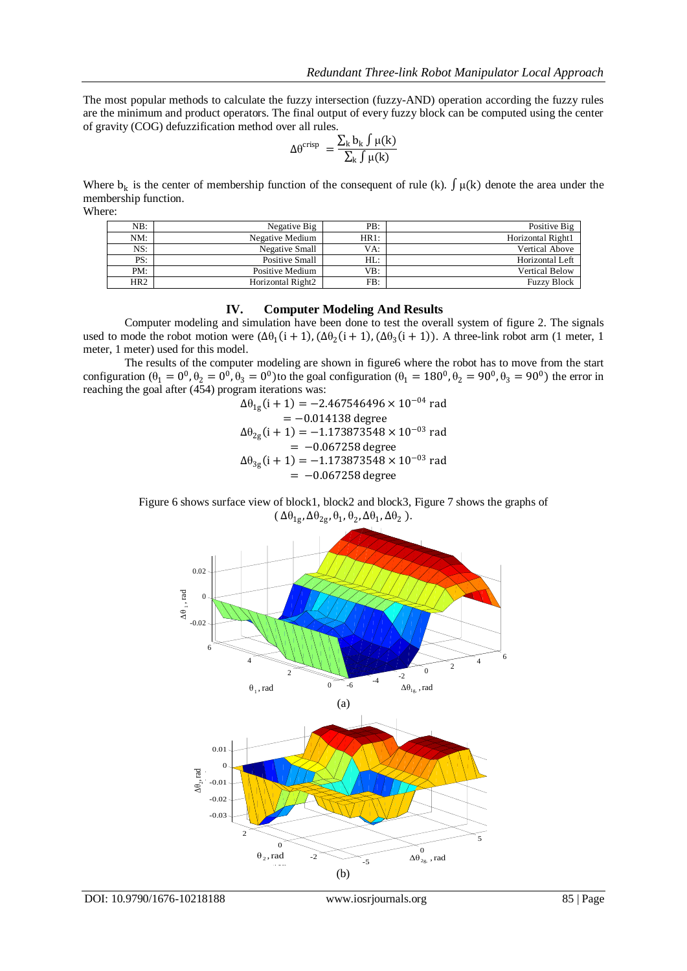The most popular methods to calculate the fuzzy intersection (fuzzy-AND) operation according the fuzzy rules are the minimum and product operators. The final output of every fuzzy block can be computed using the center of gravity (COG) defuzzification method over all rules.

$$
\Delta \theta^{crisp} \ = \frac{\sum_k b_k \int \mu(k)}{\sum_k \int \mu(k)}
$$

Where  $b_k$  is the center of membership function of the consequent of rule (k).  $\int \mu(k)$  denote the area under the membership function. Where:

| NB:             | Negative Big      | PB:    | Positive Big          |
|-----------------|-------------------|--------|-----------------------|
| NM:             | Negative Medium   | HR1:   | Horizontal Right1     |
| NS:             | Negative Small    | VA:    | <b>Vertical Above</b> |
| PS:             | Positive Small    | $HL$ : | Horizontal Left       |
| PM:             | Positive Medium   | VB:    | <b>Vertical Below</b> |
| HR <sub>2</sub> | Horizontal Right2 | FB:    | <b>Fuzzy Block</b>    |

## **IV. Computer Modeling And Results**

Computer modeling and simulation have been done to test the overall system of figure 2. The signals used to mode the robot motion were  $(\Delta\theta_1(i + 1), (\Delta\theta_2(i + 1), (\Delta\theta_3(i + 1))$ . A three-link robot arm (1 meter, 1 meter, 1 meter) used for this model.

The results of the computer modeling are shown in figure6 where the robot has to move from the start configuration  $(\theta_1 = 0^0, \theta_2 = 0^0, \theta_3 = 0^0)$  to the goal configuration  $(\theta_1 = 180^0, \theta_2 = 90^0, \theta_3 = 90^0)$  the error in reaching the goal after (454) program iterations was:

$$
\Delta\theta_{1g}(i + 1) = -2.467546496 \times 10^{-04} \text{ rad}
$$
  
= -0.014138 degree  

$$
\Delta\theta_{2g}(i + 1) = -1.173873548 \times 10^{-03} \text{ rad}
$$
  
= -0.067258 degree  

$$
\Delta\theta_{3g}(i + 1) = -1.173873548 \times 10^{-03} \text{ rad}
$$
  
= -0.067258 degree

Figure 6 shows surface view of block1, block2 and block3, Figure 7 shows the graphs of  $(\Delta \theta_{1g}, \Delta \theta_{2g}, \theta_1, \theta_2, \Delta \theta_1, \Delta \theta_2).$ 

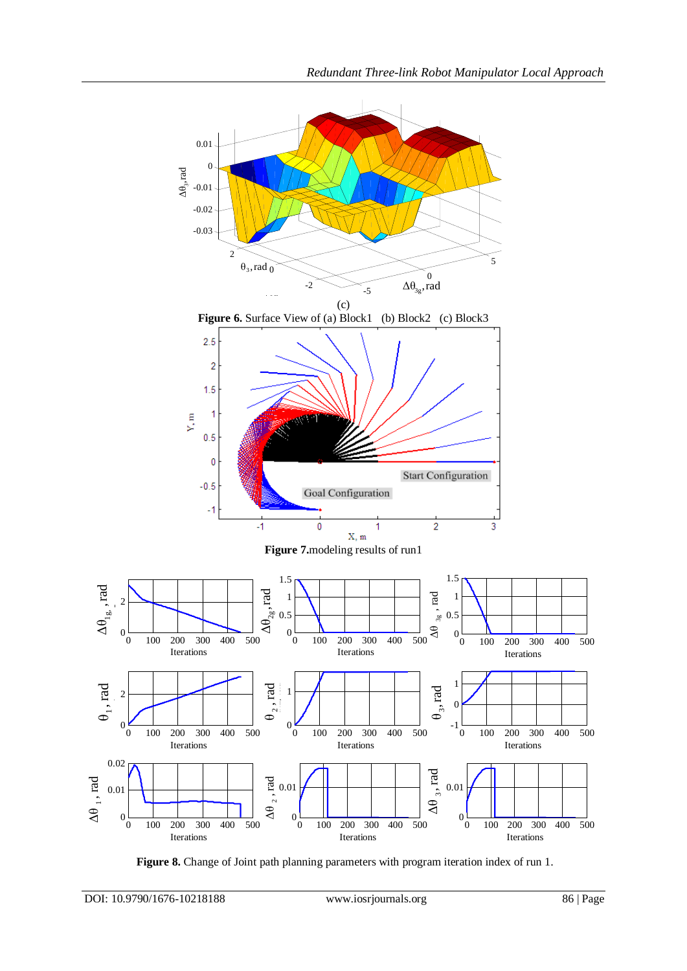

**Figure 8.** Change of Joint path planning parameters with program iteration index of run 1.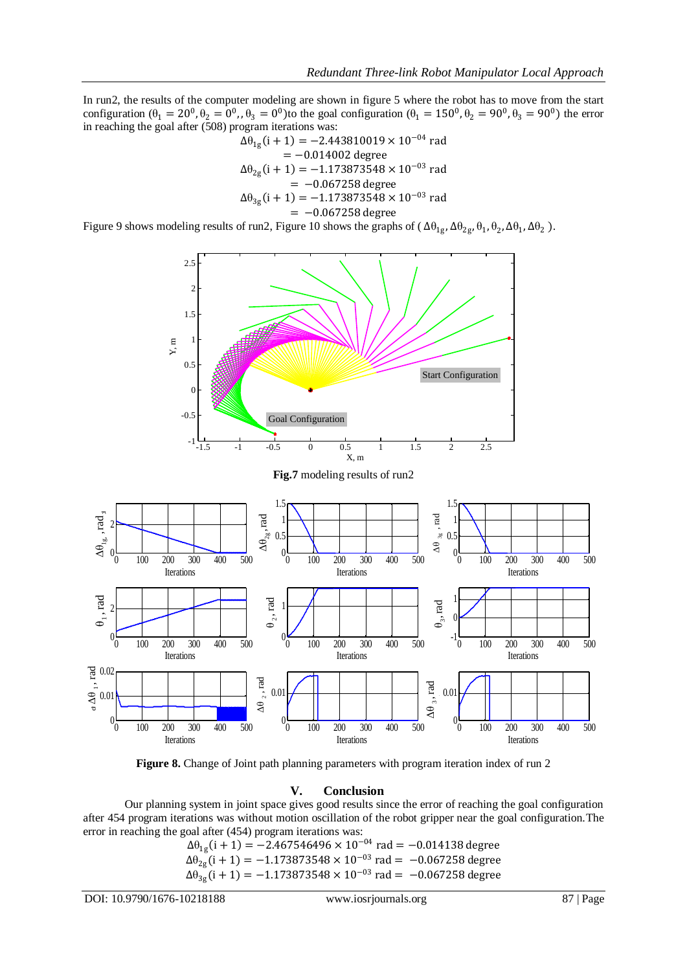In run2, the results of the computer modeling are shown in figure 5 where the robot has to move from the start configuration  $(\theta_1 = 20^0, \theta_2 = 0^0, \theta_3 = 0^0)$  to the goal configuration  $(\theta_1 = 150^0, \theta_2 = 90^0, \theta_3 = 90^0)$  the error in reaching the goal after (508) program iterations was:

$$
\Delta\theta_{1g}(i + 1) = -2.443810019 \times 10^{-04} \text{ rad}
$$
  
= -0.014002 degree  

$$
\Delta\theta_{2g}(i + 1) = -1.173873548 \times 10^{-03} \text{ rad}
$$
  
= -0.067258 degree  

$$
\Delta\theta_{3g}(i + 1) = -1.173873548 \times 10^{-03} \text{ rad}
$$
  
= -0.067258 degree

Figure 9 shows modeling results of run2, Figure 10 shows the graphs of  $(\Delta\theta_{1g}, \Delta\theta_{2g}, \theta_1, \theta_2, \Delta\theta_1, \Delta\theta_2)$ .





#### **V. Conclusion**

Our planning system in joint space gives good results since the error of reaching the goal configuration after 454 program iterations was without motion oscillation of the robot gripper near the goal configuration.The error in reaching the goal after (454) program iterations was:

> $\Delta\theta_{1g}$ (i + 1) = −2.467546496 × 10<sup>−04</sup> rad = −0.014138 degree  $Δθ<sub>2g</sub>(i + 1) = −1.173873548 × 10<sup>-03</sup>$  rad =  $-0.067258$  degree  $Δθ<sub>3g</sub>(i + 1) = −1.173873548 × 10<sup>-03</sup>$  rad =  $-0.067258$  degree